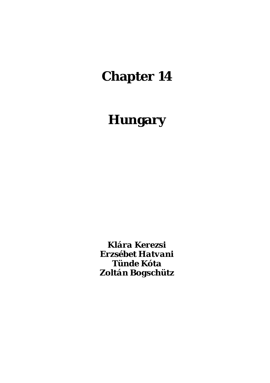# **Chapter 14**

# **Hungary**

*Klára Kerezsi Erzsébet Hatvani Tünde Kóta Zoltán Bogschütz*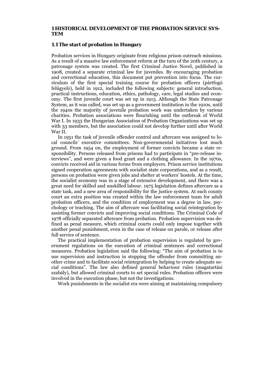#### **1 HISTORICAL DEVELOPMENT OF THE PROBATION SERVICE SYS-TEM**

#### **1.1 The start of probation in Hungary**

Probation services in Hungary originate from religious prison outreach missions. As a result of a massive law enforcement reform at the turn of the 20th century, a patronage system was created. The first Criminal Justice Novel, published in 1908, created a separate criminal law for juveniles. By encouraging probation and correctional education, this document put prevention into focus. The curriculum of the first special training course for probation officers (pártfogó felügyelő), held in 1912, included the following subjects: general introduction, practical instructions, education, ethics, pathology, care, legal studies and economy. The first juvenile court was set up in 1913. Although the State Patronage System, as it was called, was set up as a government institution in the 1910s, until the 1940s the majority of juvenile probation work was undertaken by various charities. Probation associations were flourishing until the outbreak of World War I. In 1933 the Hungarian Association of Probation Organizations was set up with 33 members, but the association could not develop further until after World War II.

In 1951 the task of juvenile offender control and aftercare was assigned to local councils' executive committees. Non-governmental initiatives lost much ground. From 1954 on, the employment of former convicts became a state responsibility. Persons released from prisons had to participate in "pre-release interviews", and were given a food grant and a clothing allowance. In the 1970s, convicts received aid in various forms from employers. Prison service institutions signed cooperation agreements with socialist state corporations, and as a result, persons on probation were given jobs and shelter at workers' hostels. At the time, the socialist economy was in a stage of extensive development, and there was a great need for skilled and unskilled labour. 1975 legislation defines aftercare as a state task, and a new area of responsibility for the justice system. At each county court an extra position was created within the law enforcement team for adult probation officers, and the condition of employment was a degree in law, psychology or teaching. The aim of aftercare was facilitating social reintegration by assisting former convicts and improving social conditions. The Criminal Code of 1978 officially separated aftercare from probation. Probation supervision was defined as penal measure, which criminal courts could only impose together with another penal punishment, even in the case of release on parole, or release after full service of sentence.

The practical implementation of probation supervision is regulated by government regulations on the execution of criminal sentences and correctional measures. Probation legislation said the following: "The aim of probation is to use supervision and instruction in stopping the offender from committing another crime and to facilitate social reintegration by helping to create adequate social conditions". The law also defined general behaviour rules (magatartási szabály), but allowed criminal courts to set special rules. Probation officers were involved in the execution phase, but not the investigations.

Work punishments in the socialist era were aiming at maintaining compulsory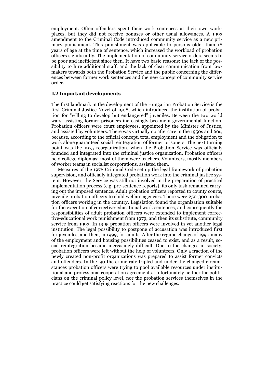employment. Often offenders spent their work sentences at their own workplaces, but they did not receive bonuses or other usual allowances. A 1993 amendment to the Criminal Code introduced community service as a new primary punishment. This punishment was applicable to persons older than 18 years of age at the time of sentence, which increased the workload of probation officers significantly. The implementation of community service orders seems to be poor and inefficient since then. It have two basic reasons: the lack of the possibility to hire additional staff, and the lack of clear communication from lawmakers towards both the Probation Service and the public concerning the differences between former work sentences and the new concept of community service order.

#### **1.2 Important developments**

The first landmark in the development of the Hungarian Probation Service is the first Criminal Justice Novel of 1908, which introduced the institution of probation for "willing to develop but endangered" juveniles. Between the two world wars, assisting former prisoners increasingly became a governmental function. Probation officers were court employees, appointed by the Minister of Justice, and assisted by volunteers. There was virtually no aftercare in the 1950s and 60s, because, according to the official concept, total employment and the obligation to work alone guaranteed social reintegration of former prisoners. The next turning point was the 1975 reorganization, when the Probation Service was officially founded and integrated into the criminal justice organization. Probation officers held college diplomas; most of them were teachers. Volunteers, mostly members of worker teams in socialist corporations, assisted them.

Measures of the 1978 Criminal Code set up the legal framework of probation supervision, and officially integrated probation work into the criminal justice system. However, the Service was still not involved in the preparation of practical implementation process (e.g. pre-sentence reports), its only task remained carrying out the imposed sentence. Adult probation officers reported to county courts, juvenile probation officers to child welfare agencies. There were 250-300 probation officers working in the country. Legislation found the organization suitable for the execution of corrective-educational work sentences, and consequently the responsibilities of adult probation officers were extended to implement corrective-educational work punishment from 1979, and then its substitute, community service from 1993. In 1995 probation officers were involved in yet another legal institution. The legal possibility to postpone of accusation was introduced first for juveniles, and then, in 1999, for adults. After the regime change of 1990 many of the employment and housing possibilities ceased to exist, and as a result, social reintegration became increasingly difficult. Due to the changes in society, probation officers were left without the help of volunteers. Only a fraction of the newly created non-profit organizations was prepared to assist former convicts and offenders. In the '90 the crime rate tripled and under the changed circumstances probation officers were trying to pool available resources under institutional and professional cooperation agreements. Unfortunately neither the politicians on the criminal policy level, nor the probation services themselves in the practice could get satisfying reactions for the new challenges.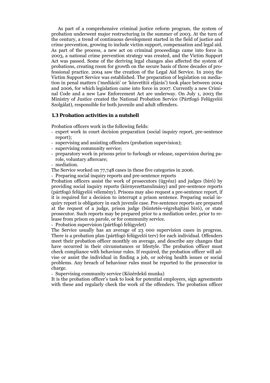As part of a comprehensive criminal justice reform program, the system of probation underwent major restructuring in the summer of 2003. At the turn of the century, a trend of continuous development started in the field of justice and crime prevention, growing to include victim support, compensation and legal aid. As part of the process, a new act on criminal proceedings came into force in 2003, a national crime prevention strategy was created, and the Victim Support Act was passed. Some of the deriving legal changes also affected the system of probations, creating room for growth on the secure basis of three decades of professional practice. 2004 saw the creation of the Legal Aid Service. In 2005 the Victim Support Service was established. The preparation of legislation on mediation in penal matters ('mediáció' or 'közvetítői eljárás') took place between 2004 and 2006, for which legislation came into force in 2007. Currently a new Criminal Code and a new Law Enforcement Act are underway. On July 1, 2003 the Ministry of Justice created the National Probation Service (Pártfogó Felügyelői Szolgálat), responsible for both juvenile and adult offenders.

## **1.3 Probation activities in a nutshell**

Probation officers work in the following fields:

- expert work in court decision preparation (social inquiry report, pre-sentence report);
- supervising and assisting offenders (probation supervision);
- supervising community service;
- preparatory work in prisons prior to furlough or release, supervision during parole, voluntary aftercare;
- mediation.
- The Service worked on 77,748 cases in these five categories in 2006.
- Preparing social inquiry reports and pre-sentence reports

Probation officers assist the work of prosecutors (ügyész) and judges (bíró) by providing social inquiry reports (környezettanulmány) and pre-sentence reports (pártfogó felügyelői vélemény). Prisons may also request a pre-sentence report, if it is required for a decision to interrupt a prison sentence. Preparing social inquiry report is obligatory in each juvenile case. Pre-sentence reports are prepared at the request of a judge, prison judge (büntetés-végrehajtási bíró), or state prosecutor. Such reports may be prepared prior to a mediation order, prior to release from prison on parole, or for community service.

- Probation supervision (pártfogó felügyelet)

The Service usually has an average of 23 000 supervision cases in progress. There is a probation plan (pártfogó felügyelői terv) for each individual. Offenders meet their probation officer monthly on average, and describe any changes that have occurred in their circumstances or lifestyle. The probation officer must check compliance with behaviour rules. If required, the probation officer will advise or assist the individual in finding a job, or solving health issues or social problems. Any breach of behaviour rules must be reported to the prosecutor in charge.

- Supervising community service (Közérdekű munka)

It is the probation officer's task to look for potential employers, sign agreements with these and regularly check the work of the offenders. The probation officer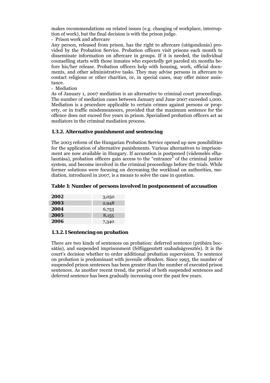makes recommendations on related issues (e.g. changing of workplace, interruption of work), but the final decision is with the prison judge.

- Prison work and aftercare

Any person, released from prison, has the right to aftercare (utógondozás) provided by the Probation Service. Probation officers visit prisons each month to disseminate information on aftercare in groups. If it is needed, the individual counselling starts with those inmates who expectedly get paroled six months before his/her release. Probation officers help with housing, work, official documents, and other administrative tasks. They may advise persons in aftercare to contact religious or other charities, or, in special cases, may offer minor assistance.

- Mediation

As of January 1, 2007 mediation is an alternative to criminal court proceedings. The number of mediation cases between January and June 2007 exceeded 1,000. Mediation is a procedure applicable to certain crimes against persons or property, or in traffic misdemeanours, provided that the maximum sentence for the offence does not exceed five years in prison. Specialised probation officers act as mediators in the criminal mediation process.

## **1.3.2. Alternative punishment and sentencing**

The 2003 reform of the Hungarian Probation Service opened up new possibilities for the application of alternative punishments. Various alternatives to imprisonment are now available in Hungary. If accusation is postponed (vádemelés elhalasztása), probation officers gain access to the "entrance" of the criminal justice system, and become involved in the criminal proceedings before the trials. While former solutions were focusing on decreasing the workload on authorities, mediation, introduced in 2007, is a means to solve the case in question.

#### **Table 1: Number of persons involved in postponement of accusation**

| 2002 | 3,050 |
|------|-------|
| 2003 | 2,948 |
| 2004 | 6,753 |
| 2005 | 8,155 |
| 2006 | 7,340 |

#### **1.3.2.1 Sentencing on probation**

There are two kinds of sentences on probation: deferred sentence (próbára bocsátás), and suspended imprisonment (felfüggesztett szabadságvesztés). It is the court's decision whether to order additional probation supervision. To sentence on probation is predominant with juvenile offenders. Since 1993, the number of suspended prison sentences has been greater than the number of executed prison sentences. As another recent trend, the period of both suspended sentences and deferred sentence has been gradually increasing over the past few years.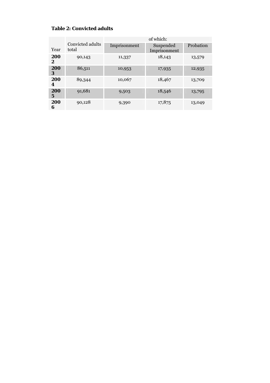# **Table 2: Convicted adults**

| Year     | Convicted adults<br>total | Imprisonment | Suspended<br>Imprisonment | Probation |
|----------|---------------------------|--------------|---------------------------|-----------|
| 200<br>2 | 90,143                    | 11,337       | 18,143                    | 13,579    |
| 200<br>3 | 86,511                    | 10,953       | 17,935                    | 12,935    |
| 200<br>4 | 89,344                    | 10,067       | 18,467                    | 13,709    |
| 200<br>5 | 91,681                    | 9,503        | 18,546                    | 13,795    |
| 200<br>6 | 90,128                    | 9,390        | 17,875                    | 13,049    |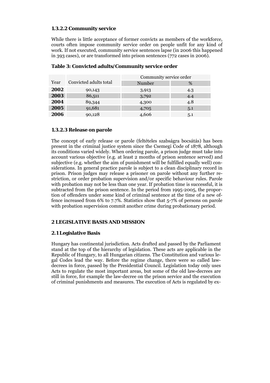## **1.3.2.2 Community service**

While there is little acceptance of former convicts as members of the workforce, courts often impose community service order on people unfit for any kind of work. If not executed, community service sentences lapse (in 2006 this happened in 393 cases), or are transformed into prison sentences (772 cases in 2006).

|      |                        | Community service order |     |  |  |  |
|------|------------------------|-------------------------|-----|--|--|--|
| Year | Convicted adults total | Number                  | %   |  |  |  |
| 2002 | 90,143                 | 3,913                   | 4.3 |  |  |  |
| 2003 | 86,511                 | 3,792                   | 4.4 |  |  |  |
| 2004 | 89,344                 | 4,300                   | 4.8 |  |  |  |
| 2005 | 91,681                 | 4,705                   | 5.1 |  |  |  |
| 2006 | 90,128                 | 4,606                   | 5.1 |  |  |  |

# **Table 3: Convicted adults/Community service order**

## **1.3.2.3 Release on parole**

The concept of early release or parole (feltételes szabságra bocsátás) has been present in the criminal justice system since the Csemegi Code of 1878, although its conditions varied widely. When ordering parole, a prison judge must take into account various objective (e.g. at least 2 months of prison sentence served) and subjective (e.g. whether the aim of punishment will be fulfilled equally well) considerations. In general practice parole is subject to a clean disciplinary record in prison. Prison judges may release a prisoner on parole without any further restriction, or order probation supervision and/or specific behaviour rules. Parole with probation may not be less than one year. If probation time is successful, it is subtracted from the prison sentence. In the period from 1995-2005, the proportion of offenders under some kind of criminal sentence at the time of a new offence increased from 6% to 7.7%. Statistics show that 5-7% of persons on parole with probation supervision commit another crime during probationary period.

# **2 LEGISLATIVE BASIS AND MISSION**

# **2.1 Legislative Basis**

Hungary has continental jurisdiction. Acts drafted and passed by the Parliament stand at the top of the hierarchy of legislation. These acts are applicable in the Republic of Hungary, to all Hungarian citizens. The Constitution and various legal Codes lead the way. Before the regime change, there were so called lawdecrees in force, passed by the Presidential Council. Legislation today only uses Acts to regulate the most important areas, but some of the old law-decrees are still in force, for example the law-decree on the prison service and the execution of criminal punishments and measures. The execution of Acts is regulated by ex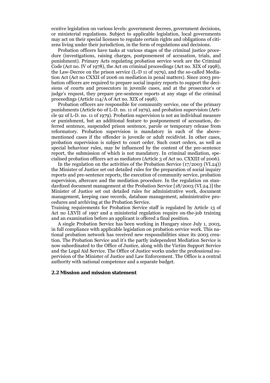ecutive legislation on various levels: government decrees, government decisions, or ministerial regulations. Subject to applicable legislation, local governments may act on their special licenses to regulate certain rights and obligations of citizens living under their jurisdiction, in the form of regulations and decisions.

Probation officers have tasks at various stages of the criminal justice procedure (investigations, raising charges, postponement of accusation, trials, and punishment). Primary Acts regulating probation service work are the Criminal Code (Act no. IV of 1978), the Act on criminal proceedings (Act no. XIX of 1998), the Law-Decree on the prison service (L-D 11 of 1979), and the so-called Mediation Act (Act no CXXII of 2006 on mediation in penal matters). Since 2003 probation officers are required to prepare social inquiry reports to support the decisions of courts and prosecutors in juvenile cases, and at the prosecutor's or judge's request, they prepare pre-sentence reports at any stage of the criminal proceedings (Article 114/A of Act no. XIX of 1998).

Probation officers are responsible for community service, one of the primary punishments (Article 60 of L-D. no. 11 of 1979), and probation supervision (Article 92 of L-D. no. 11 of 1979). Probation supervision is not an individual measure or punishment, but an additional feature to postponement of accusation, deferred sentence, suspended prison sentence, parole or temporary release from reformatory. Probation supervision is mandatory in each of the abovementioned cases if the offender is juvenile or adult recidivist. In other cases, probation supervision is subject to court order. Such court orders, as well as special behaviour rules, may be influenced by the content of the pre-sentence report, the submission of which is not mandatory. In criminal mediation, specialised probation officers act as mediators (Article 3 of Act no. CXXIII of 2006).

In the regulation on the activities of the Probation Service (17/2003 (VI.24)) the Minister of Justice set out detailed rules for the preparation of social inquiry reports and pre-sentence reports, the execution of community service, probation supervision, aftercare and the mediation procedure. In the regulation on standardized document management at the Probation Service [18/2003 (VI.24.)] the Minister of Justice set out detailed rules for administrative work, document management, keeping case records, database management, administrative procedures and archiving at the Probation Service.

Training requirements for Probation Service staff is regulated by Article 13 of Act no LXVII of 1997 and a ministerial regulation require on-the-job training and an examination before an applicant is offered a final position.

A single Probation Service has been working in Hungary since July 1, 2003, in full compliance with applicable legislation on probation service work. This national probation network has received new responsibilities since its 2003 creation. The Probation Service and it's the partly independent Mediation Service is now subordinated to the Office of Justice, along with the Victim Support Service and the Legal Aid Service. The Office of Justice works under the professional supervision of the Minister of Justice and Law Enforcement. The Office is a central authority with national competence and a separate budget.

#### **2.2 Mission and mission statement**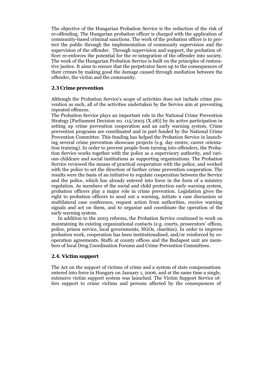The objective of the Hungarian Probation Service is the reduction of the risk of re-offending. The Hungarian probation officer is charged with the application of community-based criminal sanctions. The work of the probation officer is to protect the public through the implementation of community supervision and the supervision of the offender. Through supervision and support, the probation officer re-enforces the potential for the re-integration of the offender into society. The work of the Hungarian Probation Service is built on the principles of restorative justice. It aims to ensure that the perpetrator faces up to the consequences of their crimes by making good the damage caused through mediation between the offender, the victim and the community.

## **2.3 Crime prevention**

Although the Probation Service's scope of activities does not include crime prevention as such, all of the activities undertaken by the Service aim at preventing repeated offences.

The Probation Service plays an important role in the National Crime Prevention Strategy [Parliament Decision no. 115/2003 (X.28)] by its active participation in setting up crime prevention cooperation and an early warning system. Crime prevention programs are coordinated and in part funded by the National Crime Prevention Committee. This funding has helped the Probation Service in launching several crime prevention showcase projects (e.g. day centre, career orientation training). In order to prevent people from turning into offenders, the Probation Service works together with the police as a supervisory authority, and various childcare and social institutions as supporting organizations. The Probation Service reviewed the means of practical cooperation with the police, and worked with the police to set the direction of further crime prevention cooperation. The results were the basis of an initiative to regulate cooperation between the Service and the police, which has already entered into force in the form of a ministry regulation. As members of the social and child protection early warning system, probation officers play a major role in crime prevention. Legislation gives the right to probation officers to send out a warning, initiate a case discussion or multilateral case conference, request action from authorities, receive warning signals and act on them, and to organize and coordinate the operation of the early warning system.

In addition to the 2003 reforms, the Probation Service continued to work on maintaining its existing organizational contacts (e.g. courts, prosecutors' offices, police, prison service, local governments, NGOs, charities). In order to improve probation work, cooperation has been institutionalised, and/or reinforced by cooperation agreements. Staffs at county offices and the Budapest unit are members of local Drug Coordination Forums and Crime Prevention Committees.

## **2.4. Victim support**

The Act on the support of victims of crime and a system of state compensations entered into force in Hungary on January 1, 2006, and at the same time a single, extensive victim support system was launched. The Victim Support Service offers support to crime victims and persons affected by the consequences of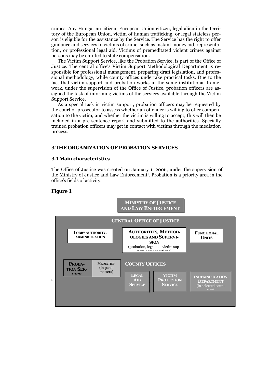crimes. Any Hungarian citizen, European Union citizen, legal alien in the territory of the European Union, victim of human trafficking, or legal stateless person is eligible for the assistance by the Service. The Service has the right to offer guidance and services to victims of crime, such as instant money aid, representation, or professional legal aid. Victims of premeditated violent crimes against persons may be entitled to state compensation.

The Victim Support Service, like the Probation Service, is part of the Office of Justice. The central office's Victim Support Methodological Department is responsible for professional management, preparing draft legislation, and professional methodology, while county offices undertake practical tasks. Due to the fact that victim support and probation works in the same institutional framework, under the supervision of the Office of Justice, probation officers are assigned the task of informing victims of the services available through the Victim Support Service.

As a special task in victim support, probation officers may be requested by the court or prosecutor to assess whether an offender is willing to offer compensation to the victim, and whether the victim is willing to accept; this will then be included in a pre-sentence report and submitted to the authorities. Specially trained probation officers may get in contact with victims through the mediation process.

## **3 THE ORGANIZATION OF PROBATION SERVICES**

#### **3.1 Main characteristics**

The Office of Justice was created on January 1, 2006, under the supervision of the Ministry of Justice and Law Enforcement<sup>1</sup>. Probation is a priority area in the office's fields of activity.

#### **Figure 1**

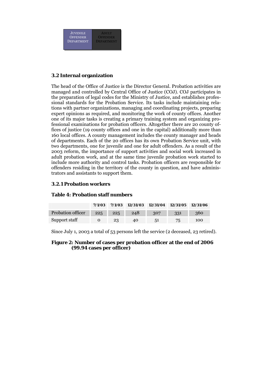

## **3.2 Internal organization**

The head of the Office of Justice is the Director General. Probation activities are managed and controlled by Central Office of Justice (COJ). COJ participates in the preparation of legal codes for the Ministry of Justice, and establishes professional standards for the Probation Service. Its tasks include maintaining relations with partner organizations, managing and coordinating projects, preparing expert opinions as required, and monitoring the work of county offices. Another one of its major tasks is creating a primary training system and organizing professional examinations for probation officers. Altogether there are 20 county offices of justice (19 county offices and one in the capital) additionally more than 160 local offices. A county management includes the county manager and heads of departments. Each of the 20 offices has its own Probation Service unit, with two departments, one for juvenile and one for adult offenders. As a result of the 2003 reform, the importance of support activities and social work increased in adult probation work, and at the same time juvenile probation work started to include more authority and control tasks. Probation officers are responsible for offenders residing in the territory of the county in question, and have administrators and assistants to support them.

## **3.2.1 Probation workers**

## **Table 4: Probation staff numbers**

|                   | 7/1/03 |         | $7/1/03$ $12/31/03$ $12/31/04$ $12/31/05$ $12/31/06$ |     |     |     |
|-------------------|--------|---------|------------------------------------------------------|-----|-----|-----|
| Probation officer | 225    | $225 -$ | 248                                                  | 307 | 331 | 360 |
| Support staff     |        | 23      | 40                                                   | 51  | 75. | 100 |

Since July 1, 2003 a total of 53 persons left the service (2 deceased, 23 retired).

#### **Figure 2: Number of cases per probation officer at the end of 2006 (99.94 cases per officer)**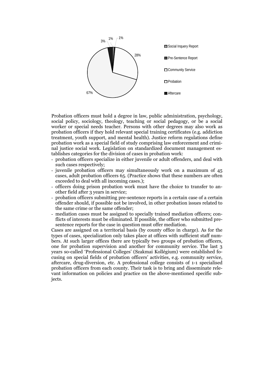

Probation officers must hold a degree in law, public administration, psychology, social policy, sociology, theology, teaching or social pedagogy, or be a social worker or special needs teacher. Persons with other degrees may also work as probation officers if they hold relevant special training certificates (e.g. addiction treatment, youth support, and mental health). Justice reform regulations define probation work as a special field of study comprising law enforcement and criminal justice social work. Legislation on standardized document management establishes categories for the division of cases in probation work:

- probation officers specialize in either juvenile or adult offenders, and deal with such cases respectively;
- juvenile probation officers may simultaneously work on a maximum of 45 cases, adult probation officers 65. (Practice shows that these numbers are often exceeded to deal with all incoming cases.);
- officers doing prison probation work must have the choice to transfer to another field after 3 years in service;
- probation officers submitting pre-sentence reports in a certain case of a certain offender should, if possible not be involved, in other probation issues related to the same crime or the same offender;
- mediation cases must be assigned to specially trained mediation officers; conflicts of interests must be eliminated. If possible, the officer who submitted presentence reports for the case in question must offer mediation.

Cases are assigned on a territorial basis (by county office in charge). As for the types of cases, specialization only takes place at offices with sufficient staff numbers. At such larger offices there are typically two groups of probation officers, one for probation supervision and another for community service. The last 3 years so-called 'Professional Colleges' (Szakmai Kollégium) were established focusing on special fields of probation officers' activities, e.g. community service, aftercare, drug-diversion, etc. A professional college consists of 1-1 specialised probation officers from each county. Their task is to bring and disseminate relevant information on policies and practice on the above-mentioned specific subjects.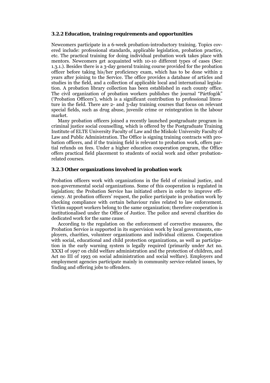#### **3.2.2 Education, training requirements and opportunities**

Newcomers participate in a 6-week probation-introductory training. Topics covered include: professional standards, applicable legislation, probation practice, etc. The practical training for doing individual probation work takes place with mentors. Newcomers get acquainted with 10-10 different types of cases (See: 1.3.1.). Besides there is a 3-day general training course provided for the probation officer before taking his/her proficiency exam, which has to be done within 2 years after joining to the Service. The office provides a database of articles and studies in the field, and a collection of applicable local and international legislation. A probation library collection has been established in each county office. The civil organization of probation workers publishes the journal "Pártfogók" ('Probation Officers'), which is a significant contribution to professional literature in the field. There are 2- and 3-day training courses that focus on relevant special fields, such as drug abuse, juvenile crime or reintegration in the labour market.

Many probation officers joined a recently launched postgraduate program in criminal justice social counselling, which is offered by the Postgraduate Training Institute of ELTE University Faculty of Law and the Miskolc University Faculty of Law and Public Administration. The Office is signing training contracts with probation officers, and if the training field is relevant to probation work, offers partial refunds on fees. Under a higher education cooperation program, the Office offers practical field placement to students of social work and other probationrelated courses.

#### **3.2.3 Other organizations involved in probation work**

Probation officers work with organizations in the field of criminal justice, and non-governmental social organizations. Some of this cooperation is regulated in legislation; the Probation Service has initiated others in order to improve efficiency. At probation officers' request, the police participate in probation work by checking compliance with certain behaviour rules related to law enforcement. Victim support workers belong to the same organization; therefore cooperation is institutionalised under the Office of Justice. The police and several charities do dedicated work for the same cause.

 According to the regulation on the enforcement of corrective measures, the Probation Service is supported in its supervision work by local governments, employers, charities, volunteer organizations and individual citizens. Cooperation with social, educational and child protection organizations, as well as participation in the early warning system is legally required (primarily under Act no. XXXI of 1997 on child welfare administration and the protection of children, and Act no III of 1993 on social administration and social welfare). Employers and employment agencies participate mainly in community service-related issues, by finding and offering jobs to offenders.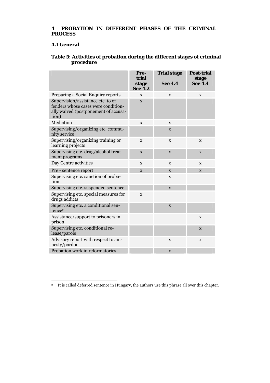# **4 PROBATION IN DIFFERENT PHASES OF THE CRIMINAL PROCESS**

## **4.1 General**

# **Table 5: Activities of probation during the different stages of criminal procedure**

|                                                                                                                            | Pre-<br>trial<br>stage<br><b>See 4.2</b> | <b>Trial stage</b><br><b>See 4.4</b> | <b>Post-trial</b><br>stage<br><b>See 4.4</b> |
|----------------------------------------------------------------------------------------------------------------------------|------------------------------------------|--------------------------------------|----------------------------------------------|
| Preparing a Social Enquiry reports                                                                                         | X                                        | X                                    | X                                            |
| Supervision/assistance etc. to of-<br>fenders whose cases were condition-<br>ally waived (postponement of accusa-<br>tion) | $\mathbf X$                              |                                      |                                              |
| Mediation                                                                                                                  | $\mathbf{x}$                             | X                                    |                                              |
| Supervising/organizing etc. commu-<br>nity service                                                                         |                                          | X                                    |                                              |
| Supervising/organizing training or<br>learning projects                                                                    | X                                        | X                                    | X                                            |
| Supervising etc. drug/alcohol treat-<br>ment programs                                                                      | $\mathbf{x}$                             | $\mathbf X$                          | $\mathbf X$                                  |
| Day Centre activities                                                                                                      | X                                        | X                                    | X                                            |
| Pre - sentence report                                                                                                      | X                                        | X                                    | X                                            |
| Supervising etc. sanction of proba-<br>tion                                                                                |                                          | X                                    |                                              |
| Supervising etc. suspended sentence                                                                                        |                                          | X                                    |                                              |
| Supervising etc. special measures for<br>drugs addicts                                                                     | $\mathbf x$                              |                                      |                                              |
| Supervising etc. a conditional sen-<br>tence <sup>2</sup>                                                                  |                                          | $\mathbf X$                          |                                              |
| Assistance/support to prisoners in<br>prison                                                                               |                                          |                                      | X                                            |
| Supervising etc. conditional re-<br>lease/parole                                                                           |                                          |                                      | $\mathbf X$                                  |
| Advisory report with respect to am-<br>nesty/pardon                                                                        |                                          | X                                    | X                                            |
| Probation work in reformatories                                                                                            |                                          | X                                    |                                              |

-<sup>2</sup> It is called deferred sentence in Hungary, the authors use this phrase all over this chapter.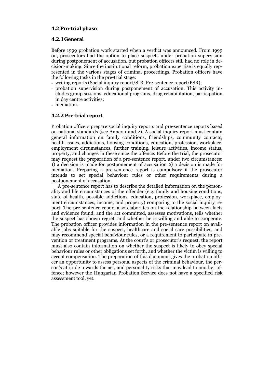#### **4.2 Pre-trial phase**

#### **4.2.1 General**

Before 1999 probation work started when a verdict was announced. From 1999 on, prosecutors had the option to place suspects under probation supervision during postponement of accusation, but probation officers still had no role in decision-making. Since the institutional reform, probation expertise is equally represented in the various stages of criminal proceedings. Probation officers have the following tasks in the pre-trial stage:

- writing reports (Social inquiry report/SIR, Pre-sentence report/PSR);
- probation supervision during postponement of accusation. This activity includes group sessions, educational programs, drug rehabilitation, participation in day centre activities;
- mediation.

#### **4.2.2 Pre-trial report**

Probation officers prepare social inquiry reports and pre-sentence reports based on national standards (see Annex 1 and 2). A social inquiry report must contain general information on family conditions, friendships, community contacts, health issues, addictions, housing conditions, education, profession, workplace, employment circumstances, further training, leisure activities, income status, property, and changes in these since the offence. Before the trial, the prosecutor may request the preparation of a pre-sentence report, under two circumstances: 1) a decision is made for postponement of accusation 2) a decision is made for mediation. Preparing a pre-sentence report is compulsory if the prosecutor intends to set special behaviour rules or other requirements during a postponement of accusation.

A pre-sentence report has to describe the detailed information on the personality and life circumstances of the offender (e.g. family and housing conditions, state of health, possible addictions, education, profession, workplace, employment circumstances, income, and property) comparing to the social inquiry report. The pre-sentence report also elaborates on the relationship between facts and evidence found, and the act committed, assesses motivations, tells whether the suspect has shown regret, and whether he is willing and able to cooperate. The probation officer provides information in the pre-sentence report on available jobs suitable for the suspect, healthcare and social care possibilities, and may recommend special behaviour rules, or a requirement to participate in prevention or treatment programs. At the court's or prosecutor's request, the report must also contain information on whether the suspect is likely to obey special behaviour rules or other obligations set forth, and whether the victim is willing to accept compensation. The preparation of this document gives the probation officer an opportunity to assess personal aspects of the criminal behaviour, the person's attitude towards the act, and personality risks that may lead to another offence; however the Hungarian Probation Service does not have a specified risk assessment tool, yet.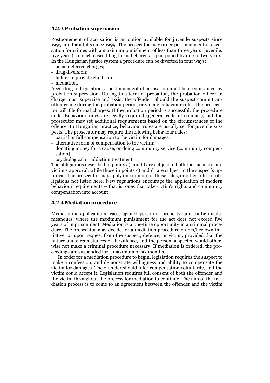#### **4.2.3 Probation supervision**

Postponement of accusation is an option available for juvenile suspects since 1995 and for adults since 1999. The prosecutor may order postponement of accusation for crimes with a maximum punishment of less than three years (juvenile: five years). In such cases filing formal charges is postponed by one to two years. In the Hungarian justice system a procedure can be diverted in four ways:

- usual deferred charges;
- drug diversion;
- failure to provide child care;
- mediation.

According to legislation, a postponement of accusation must be accompanied by probation supervision. During this term of probation, the probation officer in charge must supervise and assist the offender. Should the suspect commit another crime during the probation period, or violate behaviour rules, the prosecutor will file formal charges. If the probation period is successful, the procedure ends. Behaviour rules are legally required (general code of conduct), but the prosecutor may set additional requirements based on the circumstances of the offence. In Hungarian practice, behaviour rules are usually set for juvenile suspects. The prosecutor may require the following behaviour rules:

- partial or full compensation to the victim for damages;
- alternative form of compensation to the victim;
- donating money for a cause, or doing community service (community compensation);
- psychological or addiction treatment.

The obligations described in points a) and b) are subject to both the suspect's and victim's approval, while those in points c) and d) are subject to the suspect's approval. The prosecutor may apply one or more of these rules, or other rules or obligations not listed here. New regulations encourage the application of modern behaviour requirements – that is, ones that take victim's rights and community compensation into account.

# **4.2.4 Mediation procedure**

Mediation is applicable in cases against person or property, and traffic misdemeanours, where the maximum punishment for the act does not exceed five years of imprisonment. Mediation is a one-time opportunity in a criminal procedure. The prosecutor may decide for a mediation procedure on his/her own initiative, or upon request from the suspect, defence, or victim, provided that the nature and circumstances of the offence, and the person suspected would otherwise not make a criminal procedure necessary. If mediation is ordered, the proceedings are suspended for a maximum of six months.

In order for a mediation procedure to begin, legislation requires the suspect to make a confession, and demonstrate willingness and ability to compensate the victim for damages. The offender should offer compensation voluntarily, and the victim could accept it. Legislation requires full consent of both the offender and the victim throughout the process for mediation to continue. The aim of the mediation process is to come to an agreement between the offender and the victim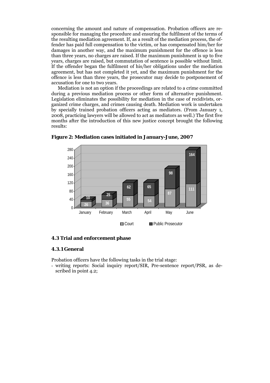concerning the amount and nature of compensation. Probation officers are responsible for managing the procedure and ensuring the fulfilment of the terms of the resulting mediation agreement. If, as a result of the mediation process, the offender has paid full compensation to the victim, or has compensated him/her for damages in another way, and the maximum punishment for the offence is less than three years, no charges are raised. If the maximum punishment is up to five years, charges are raised, but commutation of sentence is possible without limit. If the offender began the fulfilment of his/her obligations under the mediation agreement, but has not completed it yet, and the maximum punishment for the offence is less than three years, the prosecutor may decide to postponement of accusation for one to two years.

Mediation is not an option if the proceedings are related to a crime committed during a previous mediation process or other form of alternative punishment. Legislation eliminates the possibility for mediation in the case of recidivists, organized crime charges, and crimes causing death. Mediation work is undertaken by specially trained probation officers acting as mediators. (From January 1, 2008, practicing lawyers will be allowed to act as mediators as well.) The first five months after the introduction of this new justice concept brought the following results:



**Figure 2: Mediation cases initiated in January-June, 2007** 

## **4.3 Trial and enforcement phase**

#### **4.3.1 General**

Probation officers have the following tasks in the trial stage:

- writing reports: Social inquiry report/SIR, Pre-sentence report/PSR, as described in point 4.2;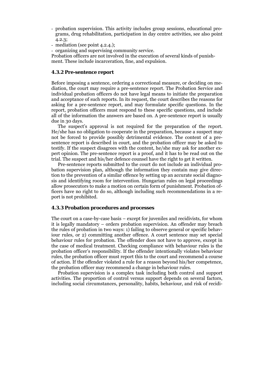- probation supervision. This activity includes group sessions, educational programs, drug rehabilitation, participation in day centre activities, see also point 4.2.3;
- mediation (see point 4.2.4.);
- organizing and supervising community service.

Probation officers are not involved in the execution of several kinds of punishment. These include incarceration, fine, and expulsion.

#### **4.3.2 Pre-sentence report**

Before imposing a sentence, ordering a correctional measure, or deciding on mediation, the court may require a pre-sentence report. The Probation Service and individual probation officers do not have legal means to initiate the preparation and acceptance of such reports. In its request, the court describes the reasons for asking for a pre-sentence report, and may formulate specific questions. In the report, probation officers must respond to these specific questions, and include all of the information the answers are based on. A pre-sentence report is usually due in 30 days.

 The suspect's approval is not required for the preparation of the report. He/she has no obligation to cooperate in the preparation, because a suspect may not be forced to provide possibly detrimental evidence. The content of a presentence report is described in court, and the probation officer may be asked to testify. If the suspect disagrees with the content, he/she may ask for another expert opinion. The pre-sentence report is a proof, and it has to be read out on the trial. The suspect and his/her defence counsel have the right to get it written.

Pre-sentence reports submitted to the court do not include an individual probation supervision plan, although the information they contain may give direction to the prevention of a similar offence by setting up an accurate social diagnosis and identifying room for intervention. Hungarian rules on legal proceedings allow prosecutors to make a motion on certain form of punishment. Probation officers have no right to do so, although including such recommendations in a report is not prohibited.

## **4.3.3 Probation procedures and processes**

The court on a case-by-case basis – except for juveniles and recidivists, for whom it is legally mandatory – orders probation supervision. An offender may breach the rules of probation in two ways: 1) failing to observe general or specific behaviour rules, or 2) committing another offence. A court sentence may set special behaviour rules for probation. The offender does not have to approve, except in the case of medical treatment. Checking compliance with behaviour rules is the probation officer's responsibility. If the offender intentionally violates behaviour rules, the probation officer must report this to the court and recommend a course of action. If the offender violated a rule for a reason beyond his/her competence, the probation officer may recommend a change in behaviour rules.

Probation supervision is a complex task including both control and support activities. The proportion of control versus support depends on several factors, including social circumstances, personality, habits, behaviour, and risk of recidi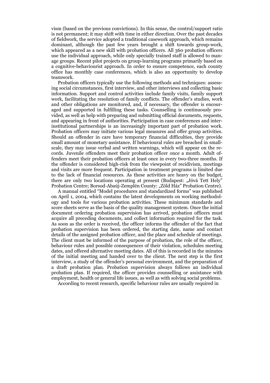vism (based on the previous convictions). In this sense, the control/support ratio is not permanent; it may shift with time in either direction. Over the past decades of fieldwork, the service adopted a traditional casework approach, which remains dominant, although the past few years brought a shift towards group-work, which appeared as a new skill with probation officers. All 360 probation officers use the individual approach, while only specially trained staff is allowed to manage groups. Recent pilot projects on group-learning programs primarily based on a cognitive-behaviourist approach. In order to ensure competence, each county office has monthly case conferences, which is also an opportunity to develop teamwork.

Probation officers typically use the following methods and techniques: assessing social circumstances, first interview, and other interviews and collecting basic information. Support and control activities include family visits, family support work, facilitating the resolution of family conflicts. The offender's studies, work and other obligations are monitored, and, if necessary, the offender is encouraged and supported in fulfilling these tasks. Counselling is continuously provided, as well as help with preparing and submitting official documents, requests, and appearing in front of authorities. Participation in case conferences and interinstitutional partnerships is an increasingly important part of probation work. Probation officers may initiate various legal measures and offer group activities. Should an offender in care have temporary financial difficulties, they provide small amount of monetary assistance. If behavioural rules are breached in smallscale, they may issue verbal and written warnings, which will appear on the records. Juvenile offenders meet their probation officer once a month. Adult offenders meet their probation officers at least once in every two-three months. If the offender is considered high-risk from the viewpoint of recidivism, meetings and visits are more frequent. Participation in treatment programs is limited due to the lack of financial resources. As these activities are heavy on the budget, there are only two locations operating at present (Budapest: "Jóvá Tett Hely" Probation Centre; Borsod-Abaúj-Zemplén County: "Zöld Ház" Probation Centre).

A manual entitled "Model procedures and standardized forms" was published on April 1, 2004, which contains the latest developments on working methodology and tools for various probation activities. These minimum standards and score sheets serve as the basis of the quality management system. Once the initial document ordering probation supervision has arrived, probation officers must acquire all preceding documents, and collect information required for the task. As soon as the order is received, the officer informs the offender of the fact that probation supervision has been ordered, the starting date, name and contact details of the assigned probation officer, and the place and schedule of meetings. The client must be informed of the purpose of probation, the role of the officer, behaviour rules and possible consequences of their violation, schedules meeting dates, and offered alternative meeting dates. All of this is recorded in the minutes of the initial meeting and handed over to the client. The next step is the first interview, a study of the offender's personal environment, and the preparation of a draft probation plan. Probation supervision always follows an individual probation plan. If required, the officer provides counselling or assistance with employment, health or general life issues, as well as with solving social problems.

According to recent research, specific behaviour rules are usually required in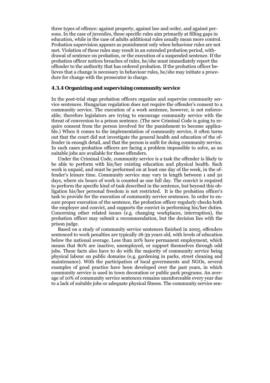three types of offence: against property, against law and order, and against persons. In the case of juveniles, these specific rules aim primarily at filling gaps in education, while in the case of adults additional rules usually mean more control. Probation supervision appears as punishment only when behaviour rules are not met. Violation of these rules may result in an extended probation period, withdrawal of sentence on probation, or the execution of a suspended sentence. If the probation officer notices breaches of rules, he/she must immediately report the offender to the authority that has ordered probation. If the probation officer believes that a change is necessary in behaviour rules, he/she may initiate a procedure for change with the prosecutor in charge.

#### **4.3.4 Organizing and supervising community service**

In the post-trial stage probation officers organize and supervise community service sentences. Hungarian regulation does not require the offender's consent to a community service. The execution of a work sentence, however, is not enforceable; therefore legislators are trying to encourage community service with the threat of conversion to a prison sentence. (The new Criminal Code is going to require consent from the person involved for the punishment to become applicable.) When it comes to the implementation of community service, it often turns out that the court did not investigate the general health and education of the offender in enough detail, and that the person is unfit for doing community service. In such cases probation officers are facing a problem impossible to solve, as no suitable jobs are available for these offenders.

Under the Criminal Code, community service is a task the offender is likely to be able to perform with his/her existing education and physical health. Such work is unpaid, and must be performed on at least one day of the week, in the offender's leisure time. Community service may vary in length between 1 and 50 days, where six hours of work is counted as one full day. The convict is required to perform the specific kind of task described in the sentence, but beyond this obligation his/her personal freedom is not restricted. It is the probation officer's task to provide for the execution of community service sentences. In order to ensure proper execution of the sentence, the probation officer regularly checks both the employer and convict, and supports the convict in performing his/her duties. Concerning other related issues (e.g. changing workplaces, interruption), the probation officer may submit a recommendation, but the decision lies with the prison judge.

Based on a study of community service sentences finished in 2005, offenders sentenced to work penalties are typically 18-39 years old, with levels of education below the national average. Less than 20% have permanent employment, which means that 80% are inactive, unemployed, or support themselves through odd jobs. These facts also have to do with the majority of community service being physical labour on public domains (e.g. gardening in parks, street cleaning and maintenance). With the participation of local governments and NGOs, several examples of good practice have been developed over the past years, in which community service is used in town decoration or public park programs. An average of 10% of community service sentences remains unenforceable every year due to a lack of suitable jobs or adequate physical fitness. The community service sen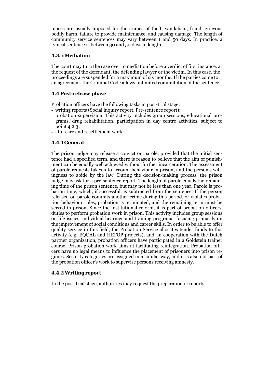tences are usually imposed for the crimes of theft, vandalism, fraud, grievous bodily harm, failure to provide maintenance, and causing damage. The length of community service sentences may vary between 1 and 50 days. In practice, a typical sentence is between 30 and 50 days in length.

# **4.3.5 Mediation**

The court may turn the case over to mediation before a verdict of first instance, at the request of the defendant, the defending lawyer or the victim. In this case, the proceedings are suspended for a maximum of six months. If the parties come to an agreement, the Criminal Code allows unlimited commutation of the sentence.

## **4.4 Post-release phase**

Probation officers have the following tasks in post-trial stage:

- writing reports (Social inquiry report, Pre-sentence report);
- probation supervision. This activity includes group sessions, educational programs, drug rehabilitation, participation in day centre activities, subject to point 4.2.3;
- aftercare and resettlement work.

## **4.4.1 General**

The prison judge may release a convict on parole, provided that the initial sentence had a specified term, and there is reason to believe that the aim of punishment can be equally well achieved without further incarceration. The assessment of parole requests takes into account behaviour in prison, and the person's willingness to abide by the law. During the decision-making process, the prison judge may ask for a pre-sentence report. The length of parole equals the remaining time of the prison sentence, but may not be less than one year. Parole is probation time, which, if successful, is subtracted from the sentence. If the person released on parole commits another crime during this period, or violates probation behaviour rules, probation is terminated, and the remaining term must be served in prison. Since the institutional reform, it is part of probation officers' duties to perform probation work in prison. This activity includes group sessions on life issues, individual hearings and training programs, focusing primarily on the improvement of social conditions and career skills. In order to be able to offer quality service in this field, the Probation Service allocates tender funds to this activity (e.g. EQUAL and HEFOP projects), and, in cooperation with the Dutch partner organization, probation officers have participated in a Goldstein trainer course. Prison probation work aims at facilitating reintegration. Probation officers have no legal means to influence the placement of prisoners into prison regimes. Security categories are assigned in a similar way, and it is also not part of the probation officer's work to supervise persons receiving amnesty.

# **4.4.2 Writing report**

In the post-trial stage, authorities may request the preparation of reports: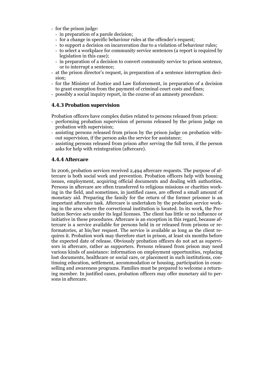- for the prison judge:
	- in preparation of a parole decision;
	- for a change in specific behaviour rules at the offender's request;
- to support a decision on incarceration due to a violation of behaviour rules;
- to select a workplace for community service sentences (a report is required by legislation in this case);
- in preparation of a decision to convert community service to prison sentence, or to interrupt a sentence;
- at the prison director's request, in preparation of a sentence interruption decision;
- for the Minister of Justice and Law Enforcement, in preparation of a decision to grant exemption from the payment of criminal court costs and fines;
- possibly a social inquiry report, in the course of an amnesty procedure.

## **4.4.3 Probation supervision**

Probation officers have complex duties related to persons released from prison:

- performing probation supervision of persons released by the prison judge on probation with supervision;
- assisting persons released from prison by the prison judge on probation without supervision, if the person asks the service for assistance;
- assisting persons released from prison after serving the full term, if the person asks for help with reintegration (aftercare).

## **4.4.4 Aftercare**

In 2006, probation services received 2,494 aftercare requests. The purpose of aftercare is both social work and prevention. Probation officers help with housing issues, employment, acquiring official documents and dealing with authorities. Persons in aftercare are often transferred to religious missions or charities working in the field, and sometimes, in justified cases, are offered a small amount of monetary aid. Preparing the family for the return of the former prisoner is an important aftercare task. Aftercare is undertaken by the probation service working in the area where the correctional institution is located. In its work, the Probation Service acts under its legal licenses. The client has little or no influence or initiative in these procedures. Aftercare is an exception in this regard, because aftercare is a service available for persons held in or released from prisons or reformatories, at his/her request. The service is available as long as the client requires it. Probation work may therefore start in prison, at least six months before the expected date of release. Obviously probation officers do not act as supervisors in aftercare, rather as supporters. Persons released from prison may need various kinds of assistance: information on employment opportunities, replacing lost documents, healthcare or social care, or placement in such institutions, continuing education, settlement, accommodation or housing, participation in counselling and awareness programs. Families must be prepared to welcome a returning member. In justified cases, probation officers may offer monetary aid to persons in aftercare.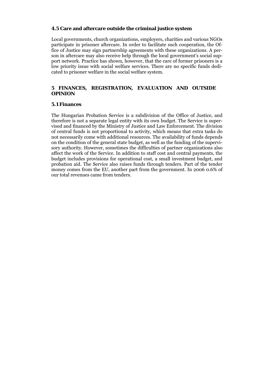#### **4.5 Care and aftercare outside the criminal justice system**

Local governments, church organizations, employers, charities and various NGOs participate in prisoner aftercare. In order to facilitate such cooperation, the Office of Justice may sign partnership agreements with these organizations. A person in aftercare may also receive help through the local government's social support network. Practice has shown, however, that the care of former prisoners is a low priority issue with social welfare services. There are no specific funds dedicated to prisoner welfare in the social welfare system.

#### **5 FINANCES, REGISTRATION, EVALUATION AND OUTSIDE OPINION**

#### **5.1 Finances**

The Hungarian Probation Service is a subdivision of the Office of Justice, and therefore is not a separate legal entity with its own budget. The Service is supervised and financed by the Ministry of Justice and Law Enforcement. The division of central funds is not proportional to activity, which means that extra tasks do not necessarily come with additional resources. The availability of funds depends on the condition of the general state budget, as well as the funding of the supervisory authority. However, sometimes the difficulties of partner organizations also affect the work of the Service. In addition to staff cost and central payments, the budget includes provisions for operational cost, a small investment budget, and probation aid. The Service also raises funds through tenders. Part of the tender money comes from the EU, another part from the government. In 2006 0.6% of our total revenues came from tenders.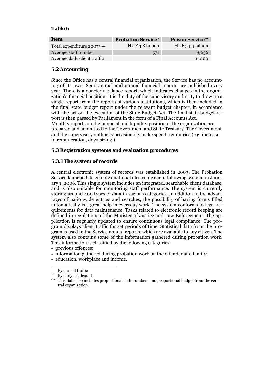## **Table 6**

| Item                         | <b>Probation Service<sup>*</sup></b> | <b>Prison Service**</b> |
|------------------------------|--------------------------------------|-------------------------|
| Total expenditure 2007***    | HUF 3.8 billion                      | HUF 34.4 billion        |
| Average staff number         | 571                                  | 8,236                   |
| Average daily client traffic |                                      | 16,000                  |

# **5.2 Accounting**

Since the Office has a central financial organization, the Service has no accounting of its own. Semi-annual and annual financial reports are published every year. There is a quarterly balance report, which indicates changes in the organization's financial position. It is the duty of the supervisory authority to draw up a single report from the reports of various institutions, which is then included in the final state budget report under the relevant budget chapter, in accordance with the act on the execution of the State Budget Act. The final state budget report is then passed by Parliament in the form of a Final Accounts Act.

Monthly reports on the financial and liquidity position of the organization are prepared and submitted to the Government and State Treasury. The Government and the supervisory authority occasionally make specific enquiries (e.g. increase in remuneration, downsizing.)

## **5.3 Registration systems and evaluation procedures**

# **5.3.1 The system of records**

A central electronic system of records was established in 2003. The Probation Service launched its complex national electronic client following system on January 1, 2006. This single system includes an integrated, searchable client database, and is also suitable for monitoring staff performance. The system is currently storing around 400 types of data in various categories. In addition to the advantages of nationwide entries and searches, the possibility of having forms filled automatically is a great help in everyday work. The system conforms to legal requirements for data maintenance. Tasks related to electronic record keeping are defined in regulations of the Minister of Justice and Law Enforcement. The application is regularly updated to ensure continuous legal compliance. The program displays client traffic for set periods of time. Statistical data from the program is used in the Service annual reports, which are available to any citizen. The system also contains some of the information gathered during probation work. This information is classified by the following categories:

- previous offences;
- information gathered during probation work on the offender and family;
- education, workplace and income.

<sup>-</sup>By annual traffic

<sup>∗∗</sup> By daily headcount

<sup>∗∗∗</sup> This data also includes proportional staff numbers and proportional budget from the central organization.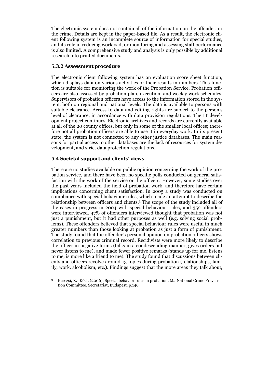The electronic system does not contain all of the information on the offender, or the crime. Details are kept in the paper-based file. As a result, the electronic client following system is an incomplete source of information for special studies, and its role in reducing workload, or monitoring and assessing staff performance is also limited. A comprehensive study and analysis is only possible by additional research into printed documents.

## **5.3.2 Assessment procedure**

The electronic client following system has an evaluation score sheet function, which displays data on various activities or their results in numbers. This function is suitable for monitoring the work of the Probation Service. Probation officers are also assessed by probation plan, execution, and weekly work schedules. Supervisors of probation officers have access to the information stored in the system, both on regional and national levels. The data is available to persons with suitable clearance. Access to data and editing rights are subject to the person's level of clearance, in accordance with data provision regulations. The IT development project continues. Electronic archives and records are currently available at all of the 20 county offices, but only in some of the smaller local offices; therefore not all probation officers are able to use it in everyday work. In its present state, the system is not connected to any other justice databases. The main reasons for partial access to other databases are the lack of resources for system development, and strict data protection regulations.

#### **5.4 Societal support and clients' views**

1

There are no studies available on public opinion concerning the work of the probation service, and there have been no specific polls conducted on general satisfaction with the work of the service or the officers. However, some studies over the past years included the field of probation work, and therefore have certain implications concerning client satisfaction. In 2005 a study was conducted on compliance with special behaviour rules, which made an attempt to describe the relationship between officers and clients.3 The scope of the study included all of the cases in progress in 2004 with special behaviour rules, and 352 offenders were interviewed. 47% of offenders interviewed thought that probation was not just a punishment, but it had other purposes as well (e.g. solving social problems). These offenders believed that special behaviour rules were useful in much greater numbers than those looking at probation as just a form of punishment. The study found that the offender's personal opinion on probation officers shows correlation to previous criminal record. Recidivists were more likely to describe the officer in negative terms (talks in a condescending manner, gives orders but never listens to me), and made fewer positive remarks (stands up for me, listens to me, is more like a friend to me). The study found that discussions between clients and officers revolve around 13 topics during probation (relationships, family, work, alcoholism, etc.). Findings suggest that the more areas they talk about,

<sup>3</sup> Kerezsi, K.- Kó J. (2006): Special behavior rules in probation. MJ National Crime Prevention Committee, Secretariat, Budapest. p.146.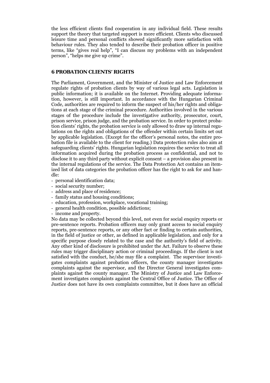the less efficient clients find cooperation in any individual field. These results support the theory that targeted support is more efficient. Clients who discussed leisure time and personal conflicts showed significantly more satisfaction with behaviour rules. They also tended to describe their probation officer in positive terms, like "gives real help", "I can discuss my problems with an independent person", "helps me give up crime".

#### **6 PROBATION CLIENTS' RIGHTS**

The Parliament, Government, and the Minister of Justice and Law Enforcement regulate rights of probation clients by way of various legal acts. Legislation is public information; it is available on the Internet. Providing adequate information, however, is still important. In accordance with the Hungarian Criminal Code, authorities are required to inform the suspect of his/her rights and obligations at each stage of the criminal procedure. Authorities involved in the various stages of the procedure include the investigative authority, prosecutor, court, prison service, prison judge, and the probation service. In order to protect probation clients' rights, the probation service is only allowed to draw up internal regulations on the rights and obligations of the offender within certain limits set out by applicable legislation. (Except for the officer's personal notes, the entire probation file is available to the client for reading.) Data protection rules also aim at safeguarding clients' rights. Hungarian legislation requires the service to treat all information acquired during the probation process as confidential, and not to disclose it to any third party without explicit consent – a provision also present in the internal regulations of the service. The Data Protection Act contains an itemized list of data categories the probation officer has the right to ask for and handle:

- personal identification data;
- social security number;
- address and place of residence;
- family status and housing conditions;
- education, profession, workplace, vocational training;
- general health condition, possible addictions;
- income and property.

No data may be collected beyond this level, not even for social enquiry reports or pre-sentence reports. Probation officers may only grant access to social enquiry reports, pre-sentence reports, or any other fact or finding to certain authorities, in the field of justice or other, as defined in applicable legislation, and only for a specific purpose closely related to the case and the authority's field of activity. Any other kind of disclosure is prohibited under the Act. Failure to observe these rules may trigger disciplinary action or criminal proceedings. If the client is not satisfied with the conduct, he/she may file a complaint. The supervisor investigates complaints against probation officers, the county manager investigates complaints against the supervisor, and the Director General investigates complaints against the county manager. The Ministry of Justice and Law Enforcement investigates complaints against the Central Office of Justice. The Office of Justice does not have its own complaints committee, but it does have an official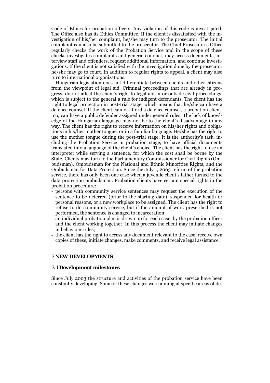Code of Ethics for probation officers. Any violation of this code is investigated. The Office also has its Ethics Committee. If the client is dissatisfied with the investigation of his/her complaint, he/she may turn to the prosecutor. The initial complaint can also be submitted to the prosecutor. The Chief Prosecutor's Office regularly checks the work of the Probation Service and in the scope of these checks investigates complaints and general conduct, may access documents, interview staff and offenders, request additional information, and continue investigations. If the client is not satisfied with the investigation done by the prosecutor he/she may go to court. In addition to regular rights to appeal, a client may also turn to international organizations.

Hungarian legislation does not differentiate between clients and other citizens from the viewpoint of legal aid. Criminal proceedings that are already in progress, do not affect the client's right to legal aid in or outside civil proceedings, which is subject to the general a rule for indigent defendants. The client has the right to legal protection in post-trial stage, which means that he/she can have a defence counsel. If the client cannot afford a defence counsel, a probation client, too, can have a public defender assigned under general rules. The lack of knowledge of the Hungarian language may not be to the client's disadvantage in any way. The client has the right to receive information on his/her rights and obligations in his/her mother tongue, or in a familiar language. He/she has the right to use the mother tongue during the post-trial stage. It is the authority's task, including the Probation Service in probation stage, to have official documents translated into a language of the client's choice. The client has the right to use an interpreter while serving a sentence, for which the cost shall be borne by the State. Clients may turn to the Parliamentary Commissioner for Civil Rights (Ombudsman), Ombudsman for the National and Ethnic Minorities Rights, and the Ombudsman for Data Protection. Since the July 1, 2003 reform of the probation service, there has only been one case when a juvenile client's father turned to the data protection ombudsman. Probation clients have certain special rights in the probation procedure:

- persons with community service sentences may request the execution of the sentence to be deferred (prior to the starting date), suspended for health or personal reasons, or a new workplace to be assigned. The client has the right to refuse to do community service, but if the amount of work prescribed is not performed, the sentence is changed to incarceration;
- an individual probation plan is drawn up for each case, by the probation officer and the client working together. In this process the client may initiate changes in behaviour rules;
- the client has the right to access any document relevant to the case, receive own copies of these, initiate changes, make comments, and receive legal assistance.

#### **7 NEW DEVELOPMENTS**

#### **7.1 Development milestones**

Since July 2003 the structure and activities of the probation service have been constantly developing. Some of these changes were aiming at specific areas of de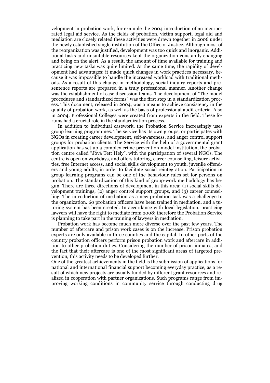velopment in probation work, for example the 2004 introduction of an incorporated legal aid service. As the fields of probation, victim support, legal aid and mediation are closely related these activities were drawn together in 2006 under the newly established single institution of the Office of Justice. Although most of the reorganization was justified, development was too quick and inorganic. Additional tasks and unsuitable resources kept the organization constantly changing and being on the alert. As a result, the amount of time available for training and practicing new tasks was quite limited. At the same time, the rapidity of development had advantages: it made quick changes in work practices necessary, because it was impossible to handle the increased workload with traditional methods. As a result of this change in methodology, social inquiry reports and presentence reports are prepared in a truly professional manner. Another change was the establishment of case discussion teams. The development of "The model procedures and standardized forms" was the first step in a standardization process. This document, released in 2004, was a means to achieve consistency in the quality of probation work, as well as the basis of professional audit criteria. Also in 2004, Professional Colleges were created from experts in the field. These forums had a crucial role in the standardization process.

In addition to individual casework, the Probation Service increasingly uses group learning programmes. The service has its own groups, or participates with NGOs in creating career development, self-awareness, and anger control support groups for probation clients. The Service with the help of a governmental grant application has set up a complex crime prevention model institution, the probation centre called "Jóvá Tett Hely", with the participation of several NGOs. The centre is open on workdays, and offers tutoring, career counselling, leisure activities, free Internet access, and social skills development to youth, juvenile offenders and young adults, in order to facilitate social reintegration. Participation in group learning programs can be one of the behaviour rules set for persons on probation. The standardization of this kind of group-work methodology has begun. There are three directions of development in this area: (1) social skills development trainings, (2) anger control support groups, and (3) career counselling. The introduction of mediation as a new probation task was a challenge to the organization. 60 probation officers have been trained in mediation, and a tutoring system has been created. In accordance with local legislation, practicing lawyers will have the right to mediate from 2008; therefore the Probation Service is planning to take part in the training of lawyers in mediation.

Probation work has become much more diverse over the past few years. The number of aftercare and prison work cases is on the increase. Prison probation experts are only available in three counties and the capital. In other parts of the country probation officers perform prison probation work and aftercare in addition to other probation duties. Considering the number of prison inmates, and the fact that their aftercare is one of the most significant areas of targeted prevention, this activity needs to be developed further.

One of the greatest achievements in the field is the submission of applications for national and international financial support becoming everyday practice, as a result of which new projects are usually funded by different grant resources and realized in cooperation with partner organizations. Such programs range from improving working conditions in community service through conducting drug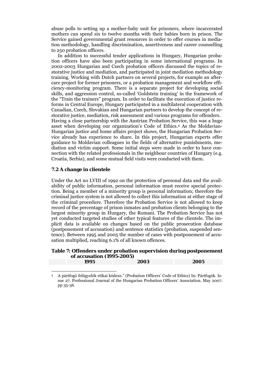abuse polls to setting up a mother-baby unit for prisoners, where incarcerated mothers can spend six to twelve months with their babies born in prison. The Service gained governmental grant resources in order to offer courses in mediation methodology, handling discrimination, assertiveness and career counselling to 250 probation officers.

In addition to successful tender applications in Hungary, Hungarian probation officers have also been participating in some international programs. In 2002-2003 Hungarian and Czech probation officers discussed the topics of restorative justice and mediation, and participated in joint mediation methodology training. Working with Dutch partners on several projects, for example an aftercare project for former prisoners, or a probation management and workflow efficiency-monitoring program. There is a separate project for developing social skills, and aggression control, so-called 'Goldstein training' in the framework of the "Train the trainers" program. In order to facilitate the execution of justice reforms in Central Europe, Hungary participated in a multilateral cooperation with Canadian, Czech, Slovakian and Hungarian partners to develop the concept of restorative justice, mediation, risk assessment and various programs for offenders. Having a close partnership with the Austrian Probation Service, this was a huge asset when developing our organization's Code of Ethics.4 As the Moldavian-Hungarian justice and home affairs project shows, the Hungarian Probation Service already has experience to share. In this project, Hungarian experts offer guidance to Moldavian colleagues in the fields of alternative punishments, mediation and victim support. Some initial steps were made in order to have connection with the related professionals in the neighbour countries of Hungary (e.g. Croatia, Serbia), and some mutual field visits were conducted with them.

#### **7.2 A change in clientele**

-

Under the Act no LVIII of 1992 on the protection of personal data and the availability of public information, personal information must receive special protection. Being a member of a minority group is personal information; therefore the criminal justice system is not allowed to collect this information at either stage of the criminal procedure. Therefore the Probation Service is not allowed to keep record of the percentage of prison inmates and probation clients belonging to the largest minority group in Hungary, the Romani. The Probation Service has not yet conducted targeted studies of other typical features of the clientele. The implicit data is available on changes based on the public prosecution database (postponement of accusation) and sentence statistics (probation, suspended sentence). Between 1995 and 2005 the number of cases with postponement of accusation multiplied, reaching 6.1% of all known offences.

## **Table 7: Offenders under probation supervision during postponement of accusation (1995-2005)**

| 1995 | 2003 | 2005 |
|------|------|------|
|      |      |      |

<sup>4</sup> A pártfogó felügyelők etikai kódexe." (Probation Officers' Code of Ethics) In: Pártfogók. Issue 27. Professional Journal of the Hungarian Probation Officers' Association. May 2007. pp 35-36.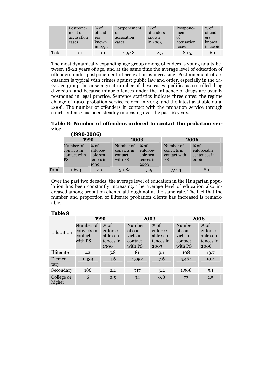|       | Postpone-<br>ment of<br>accusation<br>cases | $%$ of<br>offend-<br>ers<br>known<br>in 1995 | Postponement<br>of<br>accusation<br>cases | $%$ of<br>offenders<br>known<br>in $2003$ | Postpone-<br>ment<br>of<br>accusation<br>cases | $%$ of<br>offend-<br>ers<br>known<br>$\sin 2006$ |
|-------|---------------------------------------------|----------------------------------------------|-------------------------------------------|-------------------------------------------|------------------------------------------------|--------------------------------------------------|
| Total | 101                                         | 0.1                                          | 2,948                                     | 2.5                                       | 8,155                                          | 6.1                                              |

The most dynamically expanding age group among offenders is young adults between 18-22 years of age, and at the same time the average level of education of offenders under postponement of accusation is increasing. Postponement of accusation is typical with crimes against public law and order, especially in the 14- 24 age group, because a great number of these cases qualifies as so-called drug diversion, and because minor offences under the influence of drugs are usually postponed in legal practice. Sentence statistics indicate three dates: the regime change of 1990, probation service reform in 2003, and the latest available data, 2006. The number of offenders in contact with the probation service through court sentence has been steadily increasing over the past 16 years.

**Table 8: Number of offenders ordered to contact the probation service (1990-2006)** 

|       | (1990-ZUU6)                                    |                                                      |                                                |                                                      |                                                       |                                               |  |
|-------|------------------------------------------------|------------------------------------------------------|------------------------------------------------|------------------------------------------------------|-------------------------------------------------------|-----------------------------------------------|--|
|       |                                                | 1990                                                 |                                                | 2003                                                 |                                                       | 2006                                          |  |
|       | Number of<br>convicts in<br>contact with<br>PS | $%$ of<br>enforce-<br>able sen-<br>tences in<br>1990 | Number of<br>convicts in<br>contact<br>with PS | $%$ of<br>enforce-<br>able sen-<br>tences in<br>2003 | Number of<br>convicts in<br>contact with<br><b>PS</b> | $%$ of<br>enforceable<br>sentences in<br>2006 |  |
| Total | 1,673                                          | 4.0                                                  | 5,084                                          | 5.9                                                  | 7,213                                                 | 8.1                                           |  |

Over the past two decades, the average level of education in the Hungarian population has been constantly increasing. The average level of education also increased among probation clients, although not at the same rate. The fact that the number and proportion of illiterate probation clients has increased is remarkable.

#### **Table 9**

|                      | 1990                                           |                                                      |                                                     | 2003                                                 | 2006                                                |                                                    |
|----------------------|------------------------------------------------|------------------------------------------------------|-----------------------------------------------------|------------------------------------------------------|-----------------------------------------------------|----------------------------------------------------|
| Education            | Number of<br>convicts in<br>contact<br>with PS | $%$ of<br>enforce-<br>able sen-<br>tences in<br>1990 | Number<br>of con-<br>victs in<br>contact<br>with PS | $%$ of<br>enforce-<br>able sen-<br>tences in<br>2003 | Number<br>of con-<br>victs in<br>contact<br>with PS | % of<br>enforce-<br>able sen-<br>tences in<br>2006 |
| Illiterate           | 42                                             | 5.8                                                  | 81                                                  | 9.1                                                  | 108                                                 | 13.7                                               |
| Elemen-<br>tary      | 1,439                                          | 4.6                                                  | 4,052                                               | 7.6                                                  | 5,464                                               | 10.4                                               |
| Secondary            | 186                                            | 2.2                                                  | 917                                                 | 3.2                                                  | 1,568                                               | 5.1                                                |
| College or<br>higher | 6                                              | 0.5                                                  | 34                                                  | 0.8                                                  | 73                                                  | 1.5                                                |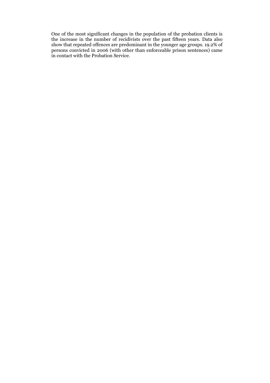One of the most significant changes in the population of the probation clients is the increase in the number of recidivists over the past fifteen years. Data also show that repeated offences are predominant in the younger age groups. 19.2% of persons convicted in 2006 (with other than enforceable prison sentences) came in contact with the Probation Service.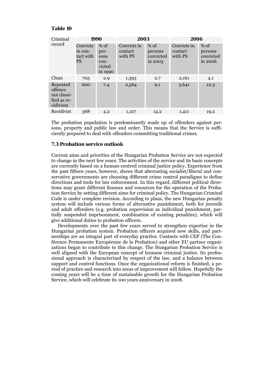#### **Table 10**

| Criminal                                                      | 1990                                   |                                                       | 2003                              |                                           | 2006                              |                                               |  |
|---------------------------------------------------------------|----------------------------------------|-------------------------------------------------------|-----------------------------------|-------------------------------------------|-----------------------------------|-----------------------------------------------|--|
| record                                                        | Convicts<br>in con-<br>tact with<br>PS | $%$ of<br>per-<br>sons<br>$con-$<br>victed<br>in 1990 | Convicts in<br>contact<br>with PS | $%$ of<br>persons<br>convicted<br>in 2003 | Convicts in<br>contact<br>with PS | $%$ of<br>persons<br>convicted<br>$\sin 2006$ |  |
| Clean                                                         | 705                                    | 2.9                                                   | 1,393                             | 2.7                                       | 2,161                             | 4.1                                           |  |
| Repeated<br>offence<br>not classi-<br>fied as re-<br>cidivism | 600                                    | 7.4                                                   | 2,564                             | 9.1                                       | 3,641                             | 12.3                                          |  |
| Recidivist                                                    | 368                                    | 4.2                                                   | 1,127                             | 14.2                                      | 1,411                             | 19.2                                          |  |

The probation population is predominantly made up of offenders against persons, property and public law and order. This means that the Service is sufficiently prepared to deal with offenders committing traditional crimes.

#### **7.3 Probation service outlook**

Current aims and priorities of the Hungarian Probation Service are not expected to change in the next few years. The activities of the service and its basic concepts are currently based on a human-centred criminal justice policy. Experience from the past fifteen years, however, shows that alternating socialist/liberal and conservative governments are choosing different crime control paradigms to define directions and tools for law enforcement. In this regard, different political directions may grant different licenses and resources for the operation of the Probation Service by setting different aims for criminal policy. The Hungarian Criminal Code is under complete revision. According to plans, the new Hungarian penalty system will include various forms of alternative punishment, both for juvenile and adult offenders (e.g. probation supervision as individual punishment, partially suspended imprisonment, combination of existing penalties), which will give additional duties to probation officers.

Developments over the past few years served to strengthen expertise in the Hungarian probation system. Probation officers acquired new skills, and partnerships are an integral part of everyday practice. Contacts with CEP (The Conférence Permanente Européenne de la Probation) and other EU partner organizations began to contribute to this change. The Hungarian Probation Service is well aligned with the European concept of humane criminal justice. Its professional approach is characterized by respect of the law, and a balance between support and control functions. Once the organizational reform is finished, a period of practice and research into areas of improvement will follow. Hopefully the coming years will be a time of sustainable growth for the Hungarian Probation Service, which will celebrate its 100 years anniversary in 2008.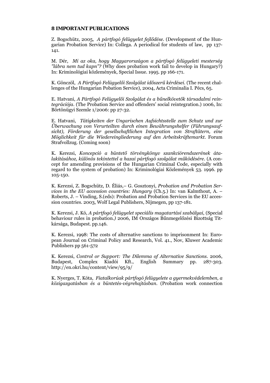#### **8 IMPORTANT PUBLICATIONS**

Z. Bogschütz, 2005, *A pártfogó felügyelet fejlődése.* (Development of the Hungarian Probation Service) In: Collega. A periodical for students of law, pp 137- 141.

M. Dér, *Mi az oka, hogy Magyarországon a pártfogó felügyeleti mesterség "lábra nem tud kapn"?* (Why does probation work fail to develop in Hungary?) In: Kriminológiai közlemények, Special Issue. 1995. pp 166-171.

K. Gönczöl, *A Pártfogó Felügyelői Szolgálat időszerű kérdései*. (The recent challenges of the Hungarian Pobation Service), 2004, Acta Criminalia I. Pécs, 65.

E. Hatvani, *A Pártfogó Felügyelői Szolgálat és a bűnelkövetők társadalmi reintegrációja*. (The Probation Service and offenders' social reintegration.) 1006, In: Börtönügyi Szemle 1/2006: pp 27-32.

E. Hatvani, *Tätigkeiten der Ungarischen Aufsichtsstelle zum Schutz und zur Überwachung von Verurteilten durch einen Bewährungshelfer (Führungsaufsicht), Förderung der gesellschaftlichen Integration von Straftätern, eine Möglichkeit für die Wiedereingliederung auf den Arbeitskräftemarkt.* Forum Strafvollzug. (Coming soon)

K. Kerezsi, *Koncepció a büntető törvénykönyv szankciórendszerének átalakításához, különös tekintettel a hazai pártfogó szolgálat működésére*. (A concept for amending provisions of the Hungarian Criminal Code, especially with regard to the system of probation) In: Kriminológiai Közlemények 53. 1996. pp 105-150.

K. Kerezsi, Z. Bogschütz, D. Éliás,– G. Gosztonyi, *Probation and Probation Services in the EU accession countries: Hungary* (Ch.5.) In: van Kalmthout, A. – Roberts, J. – Vinding, S.(eds): Probation and Probation Services in the EU accession countries. 2003, Wolf Legal Publishers, Nijmegen, pp 137-181.

K. Kerezsi, J. Kó, *A pártfogó felügyelet speciális magatartási szabályai*, (Special behaviour rules in probation.*)* 2006, IM Országos Bűnmegelőzési Bizottság Titkársága, Budapest. pp.146.

K. Kerezsi, 1998: The costs of alternative sanctions to imprisonment In: European Journal on Criminal Policy and Research, Vol. 41., Nov, Kluwer Academic Publishers pp 561-572

K. Kerezsi, *Control or Support: The Dilemma of Alternative Sanctions.* 2006, Budapest, Complex Kiadói Kft., English Summary pp. 287-303. http://en.okri.hu/content/view/95/9/

K. Nyerges, T. Kóta, *Fiatalkorúak pártfogó felügyelete a gyermekvédelemben, a közigazgatásban és a büntetés-végrehajtásban*. (Probation work connection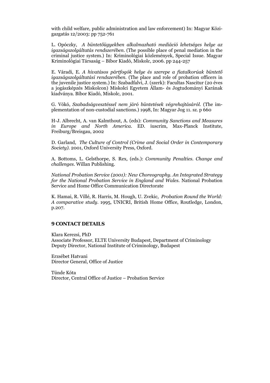with child welfare, public administration and law enforcement) In: Magyar Közigazgatás 12/2003: pp 752-761

L. Opóczky, *A büntetőügyekben alkalmazható mediáció lehetséges helye az igazságszolgáltatás rendszerében*. (The possible place of penal mediation in the criminal justice system.) In: Kriminológiai közlemények, Special Issue. Magyar Kriminológiai Társaság – Bíbor Kiadó, Miskolc, 2006. pp 244-257

E. Váradi, E*. A hivatásos pártfogók helye és szerepe a fiatalkorúak büntető igazságszolgáltatási rendszerében.* (The place and role of probation officers in the juvenile justice system.) In: Szabadfalvi, J. (szerk): Facultas Nascitur (20 éves a jogászképzés Miskolcon) Miskolci Egyetem Állam- és Jogtudományi Karának kiadványa. Bíbor Kiadó, Miskolc, 2001.

G. Vókó, *Szabadságvesztéssel nem járó büntetések végrehajtásáról.* (The implementation of non-custodial sanctions.) 1998, In: Magyar Jog 11. sz. p 660

H-J. Albrecht, A. van Kalmthout, A. (eds): *Community Sanctions and Measures in Europe and North America.* ED. iuscrim, Max-Planck Institute, Freiburg/Breisgau, 2002

D. Garland*, The Culture of Control (Crime and Social Order in Contemporary Society).* 2001, Oxford University Press, Oxford.

A. Bottoms, L. Gelsthorpe, S. Rex, (eds.): *Community Penalties. Change and challenges*. Willan Publishing.

*National Probation Service (2001): New Choreography. An Integrated Strategy for the National Probation Service in England and Wales.* National Probation Service and Home Office Communication Directorate

K. Hamai, R. Villé, R. Harris, M. Hough, U. Zvekic, *Probation Round the World: A comparative study*. 1995, UNICRI, British Home Office, Routledge, London, p.207.

# **9 CONTACT DETAILS**

Klara Kerezsi, PhD Associate Professor, ELTE University Budapest, Department of Criminology Deputy Director, National Institute of Criminology, Budapest

Erzsébet Hatvani Director General, Office of Justice

Tünde Kóta Director, Central Office of Justice – Probation Service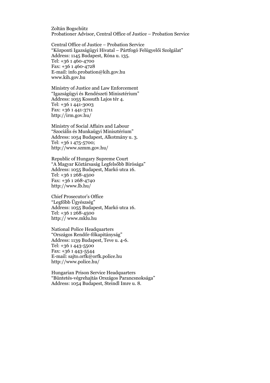Zoltán Bogschütz Probationer Advisor, Central Office of Justice – Probation Service

Central Office of Justice – Probation Service "Központi Igazságügyi Hivatal – Pártfogó Felügyelői Szolgálat" Address: 1145 Budapest, Róna u. 135. Tel: +36 1 460-4700 Fax: +36 1 460-4728 E-mail: info.probation@kih.gov.hu www.kih.gov.hu

Ministry of Justice and Law Enforcement "Igazságügyi és Rendészeti Minisztérium" Address: 1055 Kossuth Lajos tér 4. Tel: +36 1 441-3003 Fax: +36 1 441-3711 http://irm.gov.hu/

Ministry of Social Affairs and Labour "Szociális és Munkaügyi Minisztérium" Address: 1054 Budapest, Alkotmány u. 3. Tel: +36 1 475-5700; http://www.szmm.gov.hu/

Republic of Hungary Supreme Court "A Magyar Köztársaság Legfelsőbb Bírósága" Address: 1055 Budapest, Markó utca 16. Tel: +36 1 268-4500 Fax: +36 1 268-4740 http://www.lb.hu/

Chief Prosecutor's Office "Legfőbb Ügyészség" Address: 1055 Budapest, Markó utca 16. Tel: +36 1 268-4500 http:// www.mklu.hu

National Police Headquarters "Országos Rendőr-főkapitányság" Address: 1139 Budapest, Teve u. 4-6. Tel: +36 1 443-5500 Fax: +36 1 443-5544 E-mail: sajto.orfk@orfk.police.hu http://www.police.hu/

Hungarian Prison Service Headquarters "Büntetés-végrehajtás Országos Parancsnoksága" Address: 1054 Budapest, Steindl Imre u. 8.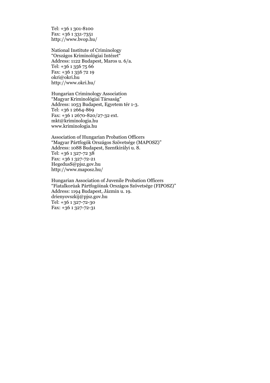Tel: +36 1 301-8100 Fax: +36 1 331-7351 http://www.bvop.hu/

National Institute of Criminology "Országos Kriminológiai Intézet" Address: 1122 Budapest, Maros u. 6/a. Tel: +36 1 356 75 66 Fax: +36 1 356 72 19 okri@okri.hu http://www.okri.hu/

Hungarian Criminology Association "Magyar Kriminológiai Társaság" Address: 1053 Budapest, Egyetem tér 1-3. Tel: +36 1 2664-869 Fax: +36 1 2670-820/27-32 ext. mkt@kriminologia.hu www.kriminologia.hu

Association of Hungarian Probation Officers "Magyar Pártfogók Országos Szövetsége (MAPOSZ)" Address: 1088 Budapest, Szentkirályi u. 8. Tel: +36 1 327-72 38 Fax: +36 1 327-72-21 HegedusS@pjsz.gov.hu http://www.maposz.hu/

Hungarian Association of Juvenile Probation Officers "Fiatalkorúak Pártfogóinak Országos Szövetsége (FIPOSZ)" Address: 1194 Budapest, Jázmin u. 19. drienyovszkij@pjsz.gov.hu Tel: +36 1 327-72-30 Fax: +36 1 327-72-31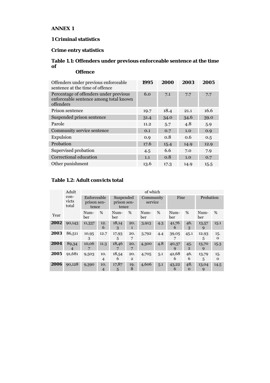# **ANNEX 1**

# **1 Criminal statistics**

# **Crime entry statistics**

# **Table 1.1: Offenders under previous enforceable sentence at the time of Offence**

| Offenders under previous enforceable<br>sentence at the time of offence                       | 1995 | 2000 | 2003 | 2005 |
|-----------------------------------------------------------------------------------------------|------|------|------|------|
| Percentage of offenders under previous<br>enforceable sentence among total known<br>offenders | 6.0  | 7.1  | 7.7  | 7.7  |
| Prison sentence                                                                               | 19.7 | 18.4 | 21.1 | 16.6 |
| Suspended prison sentence                                                                     | 31.4 | 34.0 | 34.6 | 39.0 |
| Parole                                                                                        | 11.2 | 5.7  | 4.8  | 5.9  |
| Community service sentence                                                                    | 0.1  | 0.7  | 1.0  | 0.9  |
| Expulsion                                                                                     | 0.9  | 0.8  | 0.6  | 0.5  |
| Probation                                                                                     | 17.6 | 15.4 | 14.9 | 12.9 |
| Supervised probation                                                                          | 4.5  | 6.6  | 7.0  | 7.9  |
| Correctional education                                                                        | 1.1  | 0.8  | 1.0  | 0.7  |
| Other punishment                                                                              | 13.6 | 17.3 | 14.9 | 15.5 |

# **Table 1.2: Adult convicts total**

|      | Adult                             |                                     |                       |                                   |                       | of which             |     |             |                       |             |          |
|------|-----------------------------------|-------------------------------------|-----------------------|-----------------------------------|-----------------------|----------------------|-----|-------------|-----------------------|-------------|----------|
|      | con-<br>victs<br>total            | Enforceable<br>prison sen-<br>tence |                       | Suspended<br>prison sen-<br>tence |                       | Community<br>service |     | Fine        |                       | Probation   |          |
| Year |                                   | Num-<br>ber                         | %                     | Num-<br>ber                       | %                     | Num-<br>ber          | %   | Num-<br>ber | %                     | Num-<br>ber | %        |
| 2002 | 90,143                            | 11,337                              | 12.<br>6              | 18,14<br>3                        | 20.<br>1              | 3,913                | 4.3 | 41,76<br>6  | 46.<br>3              | 13,57<br>9  | 15.1     |
| 2003 | 86,511                            | 10,95<br>3                          | 12.7                  | 17,93<br>5                        | 20.<br>7              | 3,792                | 4.4 | 39,05       | 45.1                  | 12,93<br>5  | 15.<br>0 |
| 2004 | 89,34<br>$\overline{\mathcal{A}}$ | 10,06<br>7                          | 11.3                  | 18,46                             | 20.<br>7              | 4,300                | 4.8 | 40,37<br>q  | 45.<br>$\overline{2}$ | 13,70<br>9  | 15.3     |
| 2005 | 91,681                            | 9,503                               | 10.<br>$\overline{4}$ | 18,54<br>6                        | 20.<br>$\overline{2}$ | 4,705                | 5.1 | 42,68<br>6  | 46.<br>6              | 13,79<br>5  | 15.<br>0 |
| 2006 | 90,128                            | 9,390                               | 10.<br>$\overline{4}$ | 17,87<br>5                        | 19.<br>8              | 4,606                | 5.1 | 43,22<br>6  | 48.<br>$\mathbf{O}$   | 13,04<br>9  | 14.5     |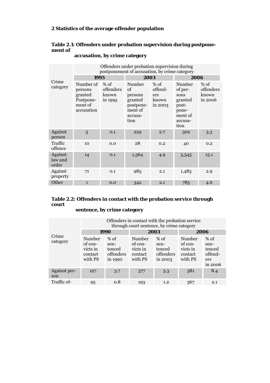# **2 Statistics of the average offender population**

# **Table 2.1: Offenders under probation supervision during postponement of**

|                             | Offenders under probation supervision during<br>postponement of accusation, by crime category |                                         |                                                                               |                                            |                                                                                      |                                         |
|-----------------------------|-----------------------------------------------------------------------------------------------|-----------------------------------------|-------------------------------------------------------------------------------|--------------------------------------------|--------------------------------------------------------------------------------------|-----------------------------------------|
|                             | 1995                                                                                          |                                         | 2003                                                                          |                                            | 2006                                                                                 |                                         |
| Crime<br>category           | Number of<br>persons<br>granted<br>Postpone-<br>ment of<br>accusation                         | $%$ of<br>offenders<br>known<br>in 1995 | Number<br>οf<br>persons<br>granted<br>postpone-<br>ment of<br>accusa-<br>tion | % of<br>offend-<br>ers<br>known<br>in 2003 | Number<br>of per-<br>sons<br>granted<br>post-<br>pone-<br>ment of<br>accusa-<br>tion | $%$ of<br>offenders<br>known<br>in 2006 |
| Against<br>person           | 5                                                                                             | 0.1                                     | 229                                                                           | 2.7                                        | 302                                                                                  | 3.3                                     |
| Traffic<br>offence          | 10                                                                                            | 0.0                                     | 28                                                                            | 0.2                                        | 40                                                                                   | 0.2                                     |
| Against<br>law and<br>order | 14                                                                                            | 0.1                                     | 1,364                                                                         | 4.9                                        | 5,545                                                                                | 15.1                                    |
| Against<br>property         | 71                                                                                            | 0.1                                     | 985                                                                           | 2.1                                        | 1,483                                                                                | 2.9                                     |
| Other                       | $\mathbf{1}$                                                                                  | 0.0                                     | 342                                                                           | 2.1                                        | 785                                                                                  | 4.6                                     |

## **accusation, by crime category**

# **Table 2.2: Offenders in contact with the probation service through court**

# **sentence, by crime category**

|                     | Offenders in contact with the probation service<br>through court sentence, by crime category |                                                  |                                                     |                                                  |                                                     |                                                       |  |
|---------------------|----------------------------------------------------------------------------------------------|--------------------------------------------------|-----------------------------------------------------|--------------------------------------------------|-----------------------------------------------------|-------------------------------------------------------|--|
|                     |                                                                                              | 1990                                             |                                                     | 2003                                             | 2006                                                |                                                       |  |
| Crime<br>category   | Number<br>of con-<br>victs in<br>contact<br>with PS                                          | $%$ of<br>sen-<br>tenced<br>offenders<br>in 1990 | Number<br>of con-<br>victs in<br>contact<br>with PS | $%$ of<br>sen-<br>tenced<br>offenders<br>in 2003 | Number<br>of con-<br>victs in<br>contact<br>with PS | $%$ of<br>sen-<br>tenced<br>offend-<br>ers<br>in 2006 |  |
| Against per-<br>son | 127                                                                                          | 3.7                                              | 377                                                 | 5.3                                              | 581                                                 | 8.4                                                   |  |
| Traffic of-         | 95                                                                                           | 0.8                                              | 193                                                 | 1.2                                              | 367                                                 | 2.1                                                   |  |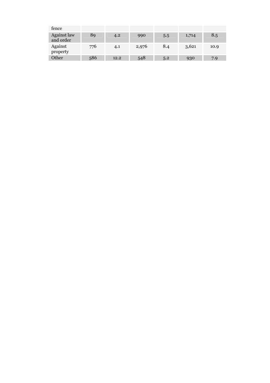| fence                           |     |      |       |     |       |      |
|---------------------------------|-----|------|-------|-----|-------|------|
| <b>Against law</b><br>and order | 89  | 4.2  | 990   | 5.5 | 1,714 | 8.5  |
| Against<br>property             | 776 | 4.1  | 2,976 | 8.4 | 3,621 | 10.9 |
| Other                           | 586 | 12.2 | 548   | 5.2 | 930   | 7.9  |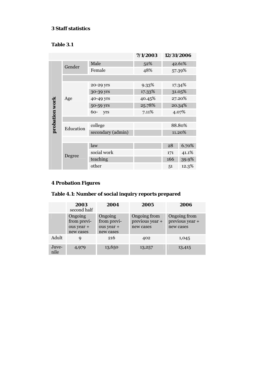# **3 Staff statistics**

# **Table 3.1**

|                |           |                   | 7/1/2003 | 12/31/2006 |        |
|----------------|-----------|-------------------|----------|------------|--------|
|                | Gender    | Male              | 52%      |            | 42.61% |
|                |           | Female            | 48%      |            | 57.39% |
|                |           |                   |          |            |        |
|                |           | 20-29 yrs         | 9.33%    |            | 17.34% |
|                |           | 30-39 yrs         | 17.33%   |            | 31.05% |
|                | Age       | 40-49 yrs         | 40.45%   | 27.20%     |        |
|                |           | 50-59 yrs         | 25.78%   | 20.34%     |        |
| probation work |           | 60-<br>yrs        | 7.11%    |            | 4.07%  |
|                |           |                   |          |            |        |
|                | Education | college           |          |            | 88.80% |
|                |           | secondary (admin) |          |            | 11.20% |
|                |           |                   |          |            |        |
|                |           | law               |          | 28         | 6.70%  |
|                | Degree    | social work       |          | 171        | 41.1%  |
|                |           | teaching          |          | 166        | 39.9%  |
|                |           | other             |          | 51         | 12.3%  |

# **4 Probation Figures**

# **Table 4.1: Number of social inquiry reports prepared**

|               | 2003<br>second half                               | 2004                                              | 2005                                         | 2006                                         |
|---------------|---------------------------------------------------|---------------------------------------------------|----------------------------------------------|----------------------------------------------|
|               | Ongoing<br>from previ-<br>ous year +<br>new cases | Ongoing<br>from previ-<br>ous year +<br>new cases | Ongoing from<br>previous year +<br>new cases | Ongoing from<br>previous year +<br>new cases |
| Adult         | 9                                                 | 216                                               | 402                                          | 1,045                                        |
| Juve-<br>nile | 4,979                                             | 13,650                                            | 13,257                                       | 13,415                                       |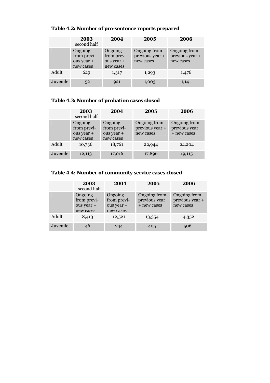|          | 2003<br>second half                               | 2004                                              | 2005                                         | 2006                                         |
|----------|---------------------------------------------------|---------------------------------------------------|----------------------------------------------|----------------------------------------------|
|          | Ongoing<br>from previ-<br>ous year +<br>new cases | Ongoing<br>from previ-<br>ous year +<br>new cases | Ongoing from<br>previous year +<br>new cases | Ongoing from<br>previous year +<br>new cases |
| Adult    | 629                                               | 1,317                                             | 1,293                                        | 1,476                                        |
| Juvenile | 152                                               | 921                                               | 1,003                                        | 1,141                                        |

# **Table 4.2: Number of pre-sentence reports prepared**

# **Table 4.3: Number of probation cases closed**

|          | 2003<br>second half                               | 2004                                              | 2005                                         | 2006                                         |
|----------|---------------------------------------------------|---------------------------------------------------|----------------------------------------------|----------------------------------------------|
|          | Ongoing<br>from previ-<br>ous year +<br>new cases | Ongoing<br>from previ-<br>ous year +<br>new cases | Ongoing from<br>previous year +<br>new cases | Ongoing from<br>previous year<br>+ new cases |
| Adult    | 10,736                                            | 18,761                                            | 22,944                                       | 24,204                                       |
| Juvenile | 12,113                                            | 17,016                                            | 17,896                                       | 19,115                                       |

# **Table 4.4: Number of community service cases closed**

|          | 2003<br>second half                               | 2004                                              | 2005                                         | 2006                                         |
|----------|---------------------------------------------------|---------------------------------------------------|----------------------------------------------|----------------------------------------------|
|          | Ongoing<br>from previ-<br>ous year +<br>new cases | Ongoing<br>from previ-<br>ous year +<br>new cases | Ongoing from<br>previous year<br>+ new cases | Ongoing from<br>previous year +<br>new cases |
| Adult    | 8,413                                             | 12,521                                            | 13,354                                       | 14,352                                       |
| Juvenile | 46                                                | 244                                               | 405                                          | 506                                          |